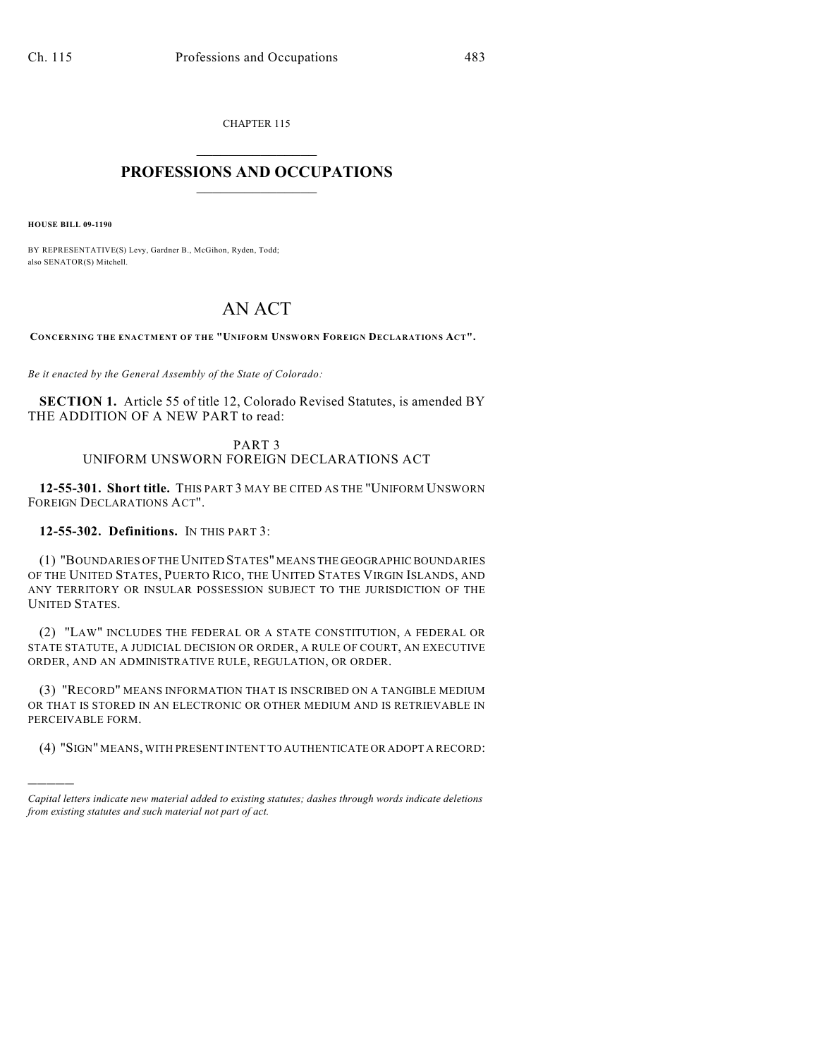CHAPTER 115  $\overline{\phantom{a}}$  . The set of the set of the set of the set of the set of the set of the set of the set of the set of the set of the set of the set of the set of the set of the set of the set of the set of the set of the set o

## **PROFESSIONS AND OCCUPATIONS**  $\frac{1}{2}$  ,  $\frac{1}{2}$  ,  $\frac{1}{2}$  ,  $\frac{1}{2}$  ,  $\frac{1}{2}$  ,  $\frac{1}{2}$

**HOUSE BILL 09-1190**

)))))

BY REPRESENTATIVE(S) Levy, Gardner B., McGihon, Ryden, Todd; also SENATOR(S) Mitchell.

## AN ACT

**CONCERNING THE ENACTMENT OF THE "UNIFORM UNSWORN FOREIGN DECLARATIONS ACT".**

*Be it enacted by the General Assembly of the State of Colorado:*

**SECTION 1.** Article 55 of title 12, Colorado Revised Statutes, is amended BY THE ADDITION OF A NEW PART to read:

## PART 3 UNIFORM UNSWORN FOREIGN DECLARATIONS ACT

**12-55-301. Short title.** THIS PART 3 MAY BE CITED AS THE "UNIFORM UNSWORN FOREIGN DECLARATIONS ACT".

## **12-55-302. Definitions.** IN THIS PART 3:

(1) "BOUNDARIES OF THE UNITED STATES" MEANS THE GEOGRAPHIC BOUNDARIES OF THE UNITED STATES, PUERTO RICO, THE UNITED STATES VIRGIN ISLANDS, AND ANY TERRITORY OR INSULAR POSSESSION SUBJECT TO THE JURISDICTION OF THE UNITED STATES.

(2) "LAW" INCLUDES THE FEDERAL OR A STATE CONSTITUTION, A FEDERAL OR STATE STATUTE, A JUDICIAL DECISION OR ORDER, A RULE OF COURT, AN EXECUTIVE ORDER, AND AN ADMINISTRATIVE RULE, REGULATION, OR ORDER.

(3) "RECORD" MEANS INFORMATION THAT IS INSCRIBED ON A TANGIBLE MEDIUM OR THAT IS STORED IN AN ELECTRONIC OR OTHER MEDIUM AND IS RETRIEVABLE IN PERCEIVABLE FORM.

(4) "SIGN" MEANS, WITH PRESENT INTENT TO AUTHENTICATE OR ADOPT A RECORD:

*Capital letters indicate new material added to existing statutes; dashes through words indicate deletions from existing statutes and such material not part of act.*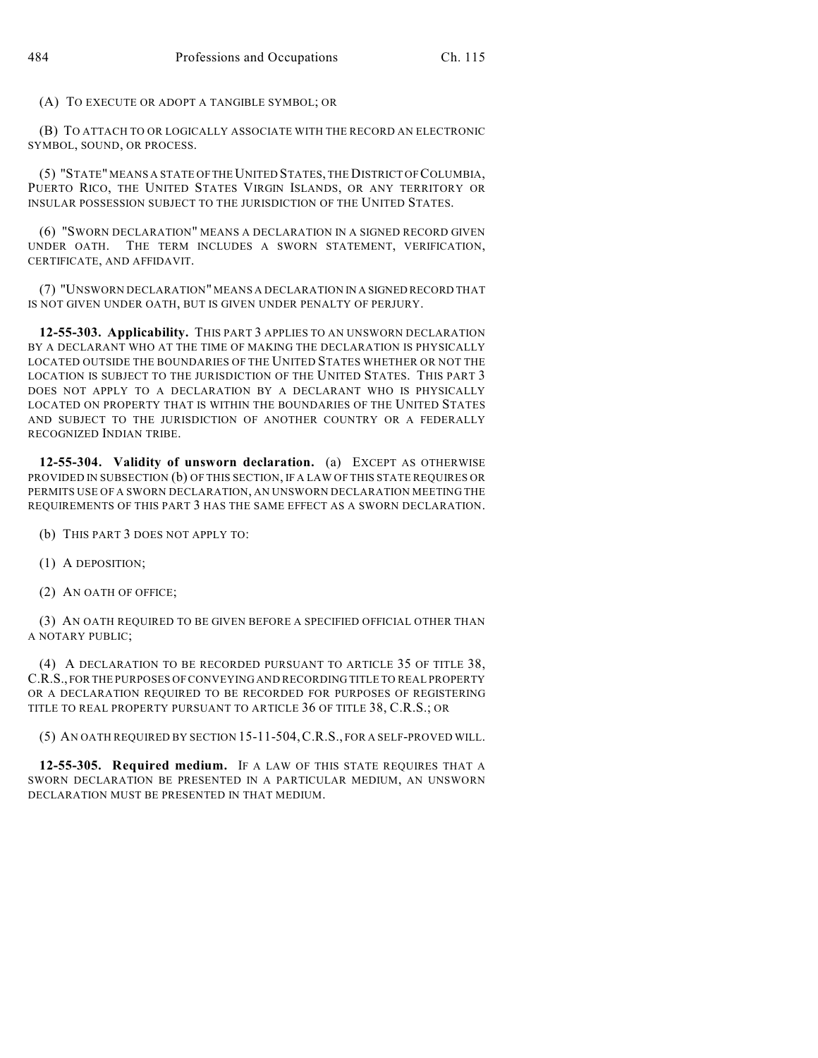(A) TO EXECUTE OR ADOPT A TANGIBLE SYMBOL; OR

(B) TO ATTACH TO OR LOGICALLY ASSOCIATE WITH THE RECORD AN ELECTRONIC SYMBOL, SOUND, OR PROCESS.

(5) "STATE" MEANS A STATE OF THE UNITED STATES, THE DISTRICT OF COLUMBIA, PUERTO RICO, THE UNITED STATES VIRGIN ISLANDS, OR ANY TERRITORY OR INSULAR POSSESSION SUBJECT TO THE JURISDICTION OF THE UNITED STATES.

(6) "SWORN DECLARATION" MEANS A DECLARATION IN A SIGNED RECORD GIVEN UNDER OATH. THE TERM INCLUDES A SWORN STATEMENT, VERIFICATION, CERTIFICATE, AND AFFIDAVIT.

(7) "UNSWORN DECLARATION" MEANS A DECLARATION IN A SIGNED RECORD THAT IS NOT GIVEN UNDER OATH, BUT IS GIVEN UNDER PENALTY OF PERJURY.

**12-55-303. Applicability.** THIS PART 3 APPLIES TO AN UNSWORN DECLARATION BY A DECLARANT WHO AT THE TIME OF MAKING THE DECLARATION IS PHYSICALLY LOCATED OUTSIDE THE BOUNDARIES OF THE UNITED STATES WHETHER OR NOT THE LOCATION IS SUBJECT TO THE JURISDICTION OF THE UNITED STATES. THIS PART 3 DOES NOT APPLY TO A DECLARATION BY A DECLARANT WHO IS PHYSICALLY LOCATED ON PROPERTY THAT IS WITHIN THE BOUNDARIES OF THE UNITED STATES AND SUBJECT TO THE JURISDICTION OF ANOTHER COUNTRY OR A FEDERALLY RECOGNIZED INDIAN TRIBE.

**12-55-304. Validity of unsworn declaration.** (a) EXCEPT AS OTHERWISE PROVIDED IN SUBSECTION (b) OF THIS SECTION, IF A LAW OF THIS STATE REQUIRES OR PERMITS USE OF A SWORN DECLARATION, AN UNSWORN DECLARATION MEETING THE REQUIREMENTS OF THIS PART 3 HAS THE SAME EFFECT AS A SWORN DECLARATION.

(b) THIS PART 3 DOES NOT APPLY TO:

(1) A DEPOSITION;

(2) AN OATH OF OFFICE;

(3) AN OATH REQUIRED TO BE GIVEN BEFORE A SPECIFIED OFFICIAL OTHER THAN A NOTARY PUBLIC;

(4) A DECLARATION TO BE RECORDED PURSUANT TO ARTICLE 35 OF TITLE 38, C.R.S., FOR THE PURPOSES OF CONVEYING AND RECORDING TITLE TO REAL PROPERTY OR A DECLARATION REQUIRED TO BE RECORDED FOR PURPOSES OF REGISTERING TITLE TO REAL PROPERTY PURSUANT TO ARTICLE 36 OF TITLE 38, C.R.S.; OR

(5) AN OATH REQUIRED BY SECTION 15-11-504,C.R.S., FOR A SELF-PROVED WILL.

**12-55-305. Required medium.** IF A LAW OF THIS STATE REQUIRES THAT A SWORN DECLARATION BE PRESENTED IN A PARTICULAR MEDIUM, AN UNSWORN DECLARATION MUST BE PRESENTED IN THAT MEDIUM.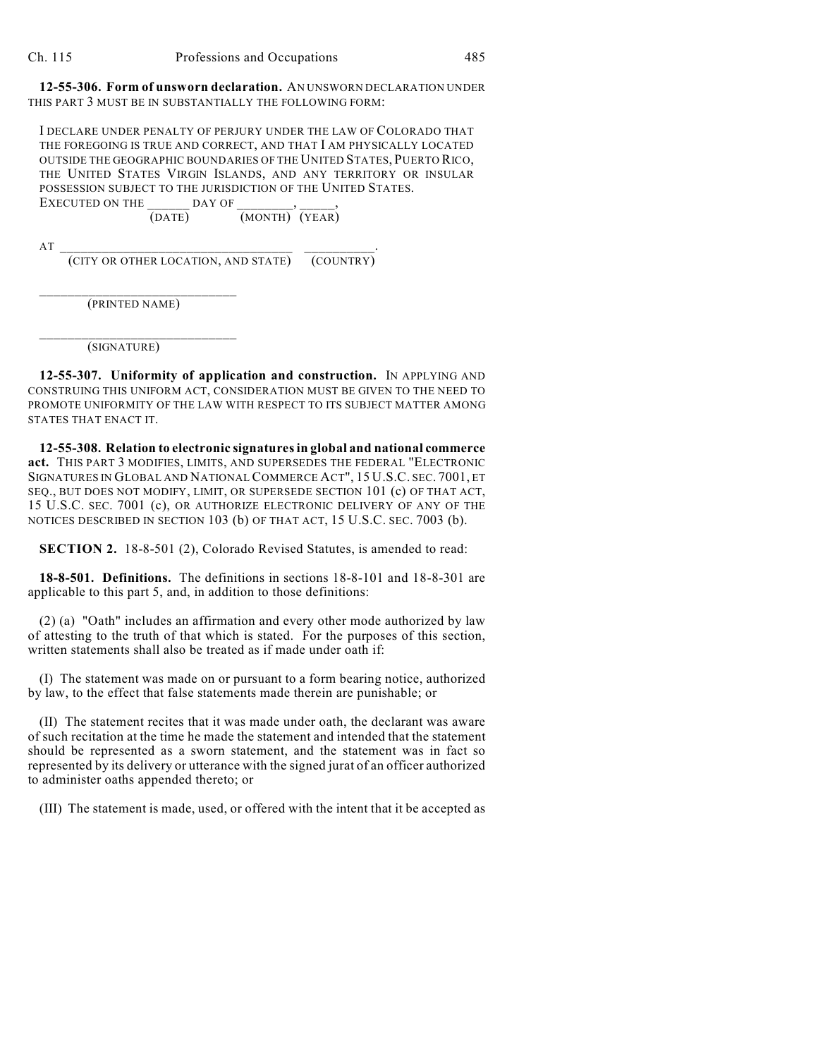**12-55-306. Form of unsworn declaration.** AN UNSWORN DECLARATION UNDER THIS PART 3 MUST BE IN SUBSTANTIALLY THE FOLLOWING FORM:

I DECLARE UNDER PENALTY OF PERJURY UNDER THE LAW OF COLORADO THAT THE FOREGOING IS TRUE AND CORRECT, AND THAT I AM PHYSICALLY LOCATED OUTSIDE THE GEOGRAPHIC BOUNDARIES OF THE UNITED STATES, PUERTO RICO, THE UNITED STATES VIRGIN ISLANDS, AND ANY TERRITORY OR INSULAR POSSESSION SUBJECT TO THE JURISDICTION OF THE UNITED STATES. EXECUTED ON THE DAY OF

(DATE) (MONTH) (YEAR)

 $AT$   $\overline{\phantom{a}}$ (CITY OR OTHER LOCATION, AND STATE) (COUNTRY)

\_\_\_\_\_\_\_\_\_\_\_\_\_\_\_\_\_\_\_\_\_\_\_\_\_\_\_\_ (PRINTED NAME)

\_\_\_\_\_\_\_\_\_\_\_\_\_\_\_\_\_\_\_\_\_\_\_\_\_\_\_\_

(SIGNATURE)

**12-55-307. Uniformity of application and construction.** IN APPLYING AND CONSTRUING THIS UNIFORM ACT, CONSIDERATION MUST BE GIVEN TO THE NEED TO PROMOTE UNIFORMITY OF THE LAW WITH RESPECT TO ITS SUBJECT MATTER AMONG STATES THAT ENACT IT.

**12-55-308. Relation to electronic signatures in global and national commerce act.** THIS PART 3 MODIFIES, LIMITS, AND SUPERSEDES THE FEDERAL "ELECTRONIC SIGNATURES IN GLOBAL AND NATIONAL COMMERCE ACT", 15 U.S.C. SEC. 7001, ET SEQ., BUT DOES NOT MODIFY, LIMIT, OR SUPERSEDE SECTION 101 (c) OF THAT ACT, 15 U.S.C. SEC. 7001 (c), OR AUTHORIZE ELECTRONIC DELIVERY OF ANY OF THE NOTICES DESCRIBED IN SECTION 103 (b) OF THAT ACT, 15 U.S.C. SEC. 7003 (b).

**SECTION 2.** 18-8-501 (2), Colorado Revised Statutes, is amended to read:

**18-8-501. Definitions.** The definitions in sections 18-8-101 and 18-8-301 are applicable to this part 5, and, in addition to those definitions:

(2) (a) "Oath" includes an affirmation and every other mode authorized by law of attesting to the truth of that which is stated. For the purposes of this section, written statements shall also be treated as if made under oath if:

(I) The statement was made on or pursuant to a form bearing notice, authorized by law, to the effect that false statements made therein are punishable; or

(II) The statement recites that it was made under oath, the declarant was aware of such recitation at the time he made the statement and intended that the statement should be represented as a sworn statement, and the statement was in fact so represented by its delivery or utterance with the signed jurat of an officer authorized to administer oaths appended thereto; or

(III) The statement is made, used, or offered with the intent that it be accepted as